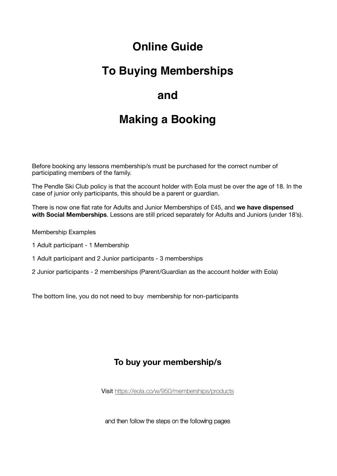## **Online Guide**

## **To Buying Memberships**

## **and**

# **Making a Booking**

Before booking any lessons membership/s must be purchased for the correct number of participating members of the family.

The Pendle Ski Club policy is that the account holder with Eola must be over the age of 18. In the case of junior only participants, this should be a parent or guardian.

There is now one flat rate for Adults and Junior Memberships of £45, and **we have dispensed with Social Memberships**. Lessons are still priced separately for Adults and Juniors (under 18's).

Membership Examples

- 1 Adult participant 1 Membership
- 1 Adult participant and 2 Junior participants 3 memberships
- 2 Junior participants 2 memberships ([Parent/Guardian as the a](http://eola.co/w/950/activities)ccount holder with Eola)

The bottom line, you do not need to buy membership for non-participants

### **To buy your membership/s**

Visit https://eola.co/w/950/memberships/products

and then follow the steps on the following pages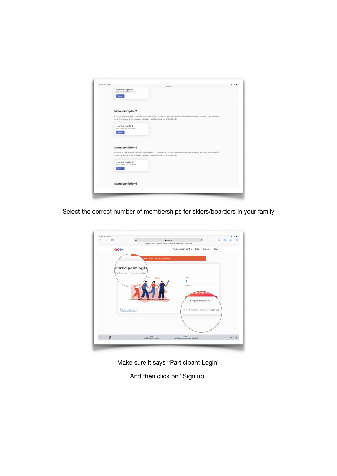

Select the correct number of memberships for skiers/boarders in your family



Make sure it says "Participant Login"

And then click on "Sign up"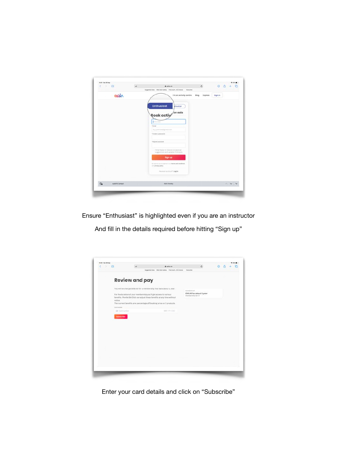| m<br>×<br>- 200                    | AA | $e$ eola.co<br>Suggested Sites Web Sites Gallery The Couch HS Choices                                                                           | $\mathfrak{C}$<br>Favournes | <b>④ 凸 +</b>   | G          |
|------------------------------------|----|-------------------------------------------------------------------------------------------------------------------------------------------------|-----------------------------|----------------|------------|
| eol                                |    | I'm an activity centre<br><b>Enthusiast</b><br>structor<br>Book actiy <sup>/on eola</sup><br>Julia Dias<br>4 limited<br>E.g. johnstre@gmest.com | Blog<br><b>Explore</b>      | <b>Sign in</b> |            |
|                                    |    | <sup>4</sup> Create a password<br>* Report possessed<br>Title happy to recove copasional<br>nuggestions and updates from eola                   |                             |                |            |
|                                    |    | <b>Sign up</b><br>By signing as a budgments our benew and conditions.<br>unit artivacy policy<br>Have an account? Leg in                        |                             |                |            |
| $\circledcirc$<br>AutoFill Contact |    | Mark Feneley                                                                                                                                    |                             |                | $\sim$ v v |

Ensure "Enthusiast" is highlighted even if you are an instructor

And fill in the details required before hitting "Sign up"

|        | 14:05 Sat 29 Sep          |                                                                  |                                                                          |                                             |         |  | <b>9.45% B</b> |
|--------|---------------------------|------------------------------------------------------------------|--------------------------------------------------------------------------|---------------------------------------------|---------|--|----------------|
| ¢<br>5 | m                         | AA                                                               | $e$ eola.co                                                              | c.<br>Favouries                             | $\circ$ |  |                |
|        |                           |                                                                  | Suggested Sites Web Site Gallery The Couch HS Choices                    |                                             |         |  |                |
|        |                           |                                                                  |                                                                          |                                             |         |  |                |
|        |                           | <b>Review and pay</b>                                            |                                                                          |                                             |         |  |                |
|        |                           |                                                                  |                                                                          |                                             |         |  |                |
|        |                           |                                                                  | You will be charged £90.00 for a membership that lasts about 1 year.     | <b>MUNICIPIER</b>                           |         |  |                |
|        |                           | For the duration of your membership you'll get access to various |                                                                          | £90.00 for about 1 year<br>membership for 2 |         |  |                |
|        | notion.                   |                                                                  | benefits. Pendle Ski Club can adjust these benefits at any time without. |                                             |         |  |                |
|        |                           |                                                                  | The current benefits are: percentage off booking price on 3 products.    |                                             |         |  |                |
|        | Cord details              |                                                                  |                                                                          |                                             |         |  |                |
|        | <b>City</b> , Card Humber |                                                                  | WMY.YY.CVC                                                               |                                             |         |  |                |
|        | <b>Subscribe</b>          |                                                                  |                                                                          |                                             |         |  |                |
|        |                           |                                                                  |                                                                          |                                             |         |  |                |
|        |                           |                                                                  |                                                                          |                                             |         |  |                |
|        |                           |                                                                  |                                                                          |                                             |         |  |                |
|        |                           |                                                                  |                                                                          |                                             |         |  |                |
|        |                           |                                                                  |                                                                          |                                             |         |  |                |
|        |                           |                                                                  |                                                                          |                                             |         |  |                |
|        |                           |                                                                  |                                                                          |                                             |         |  |                |
|        |                           |                                                                  |                                                                          |                                             |         |  |                |
|        |                           |                                                                  |                                                                          |                                             |         |  |                |
|        |                           |                                                                  |                                                                          |                                             |         |  |                |
|        |                           |                                                                  |                                                                          |                                             |         |  |                |
|        |                           |                                                                  |                                                                          |                                             |         |  |                |
|        |                           |                                                                  |                                                                          |                                             |         |  |                |
|        |                           |                                                                  |                                                                          |                                             |         |  |                |
|        |                           |                                                                  |                                                                          |                                             |         |  |                |
|        |                           |                                                                  |                                                                          |                                             |         |  |                |

Enter your card details and click on "Subscribe"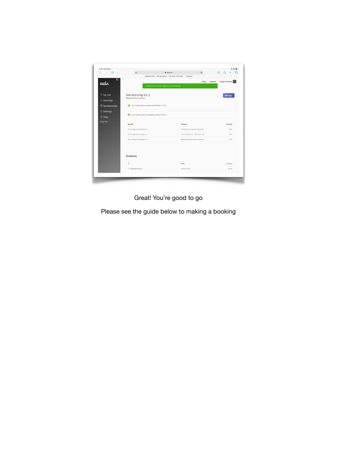

Great! You're good to go

Please see the guide below to making a booking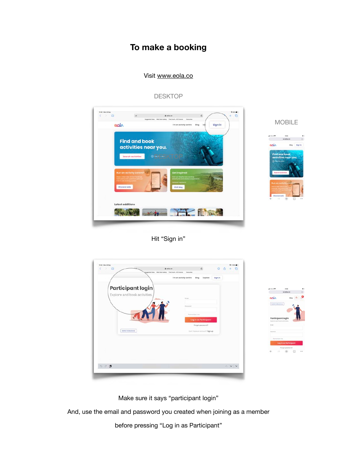### **To make a booking**

### Visit [www.eola.co](http://www.eola.co)



### DESKTOP

### Hit "Sign in"

| 12:32 Mon 28 Sep<br>$\langle \rangle$ m | $\ddot{a}$ eola.co<br>Suggested Sites Web Sites Gallery The Couch, HS Choices Favouries | $c$<br>◎ 凸                                         | <b>9400M</b><br>G |                                                  |
|-----------------------------------------|-----------------------------------------------------------------------------------------|----------------------------------------------------|-------------------|--------------------------------------------------|
|                                         | I'm an activity centre                                                                  | Blog<br>Explore<br><b>Sign in</b>                  |                   |                                                  |
| <b>Participant login</b>                |                                                                                         |                                                    |                   | $-400-10$<br>14-46<br>$*$ ecla.co<br>a.          |
| Explore and book activities.            | tivopt.                                                                                 |                                                    |                   | ு<br>agla<br>Blog<br><b>Sellsfr In Business</b>  |
|                                         | Postpidet                                                                               |                                                    |                   |                                                  |
|                                         |                                                                                         | Ramerribeit me<br>Log in as Participant            |                   | Participant login<br>Explore and book anti-ties. |
| Switch to Business                      |                                                                                         | Forgot password?<br>Davit have an account? Sign up |                   | <b>Image</b><br>Publisher                        |
|                                         |                                                                                         |                                                    |                   | <b>Fernisherma</b><br>Log in as Participant      |
|                                         |                                                                                         |                                                    |                   | Forgot password?<br>115<br>Θ                     |
|                                         |                                                                                         |                                                    |                   |                                                  |
| 500                                     |                                                                                         |                                                    | $\sim$ v v        |                                                  |

Make sure it says "participant login"

And, use the email and password you created when joining as a member

before pressing "Log in as Participant"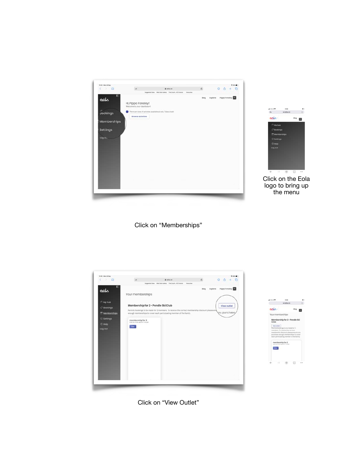



logo to bring up the menu

Click on "Memberships"





Click on "View Outlet"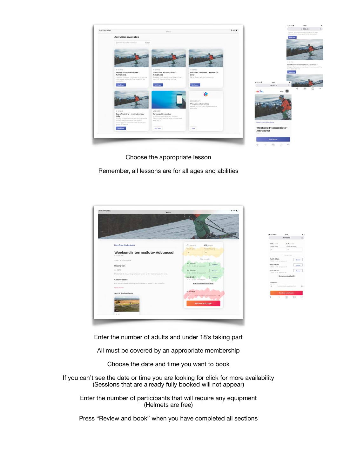

Choose the appropriate lesson

Remember, all lessons are for all ages and abilities



Enter the number of adults and under 18's taking part

All must be covered by an appropriate membership

Choose the date and time you want to book

If you can't see the date or time you are looking for click for more availability (Sessions that are already fully booked will not appear)

Enter the number of participants that will require any equipment (Helmets are free)

Press "Review and book" when you have completed all sections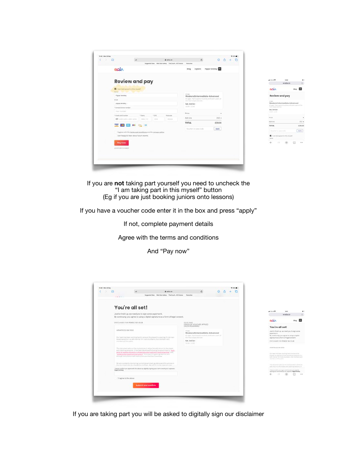| m<br>- | AA                                                            |                     |       | a eola.co                                               | è.                      | $\circ$                                            | m |  |
|--------|---------------------------------------------------------------|---------------------|-------|---------------------------------------------------------|-------------------------|----------------------------------------------------|---|--|
|        |                                                               |                     |       | Suggested Sites Web Sice Gallery The Couch., HS Choices | Fevouries               |                                                    |   |  |
|        | eol                                                           |                     |       |                                                         | Explore<br>Blog         | <b>Pippa Feneley</b>                               |   |  |
|        | <b>Review and pay</b>                                         |                     |       |                                                         |                         |                                                    |   |  |
|        | The risk in the that the third result                         |                     |       |                                                         |                         |                                                    |   |  |
|        | <b>Borne</b><br><b>Service</b><br>Pippa Feneley               |                     |       |                                                         | 9.50 %                  | Weekend Intermediate-Advanced                      |   |  |
|        | <b>Errest</b>                                                 |                     |       |                                                         | the main sizes and mis- | All ages. Participants must be proficient users of |   |  |
|        | pippe.fanaley                                                 |                     |       |                                                         | Sot, 3rd Oct.           |                                                    |   |  |
|        | * Correct shore manber                                        |                     |       |                                                         | $1000 - 1100$           |                                                    |   |  |
|        | Your number                                                   |                     |       |                                                         | Price                   | ٠                                                  |   |  |
|        | <sup>1</sup> Credit cord rearder                              | <sup>4</sup> Expiry | + cyc | Pattopolo                                               |                         |                                                    |   |  |
|        | ET 1234 1234 1234 1234                                        | MM /OY              | CVC-  | <b>KXXXX</b>                                            | Add-ons                 | £12 *                                              |   |  |
|        | <b>PORT</b>                                                   |                     |       |                                                         | <b>TOTAL</b>            | £39.00                                             |   |  |
|        |                                                               |                     |       |                                                         | Weather or pees code.   | Apply                                              |   |  |
|        | I agree with the terms and conditions and the privacy policy. |                     |       |                                                         |                         |                                                    |   |  |
|        | I am happy to hear about future events.                       |                     |       |                                                         |                         |                                                    |   |  |
|        |                                                               |                     |       |                                                         |                         |                                                    |   |  |
|        | Pay now                                                       |                     |       |                                                         |                         |                                                    |   |  |
|        | A SECURE PAYMENT                                              |                     |       |                                                         |                         |                                                    |   |  |
|        |                                                               |                     |       |                                                         |                         |                                                    |   |  |
|        |                                                               |                     |       |                                                         |                         |                                                    |   |  |
|        |                                                               |                     |       |                                                         |                         |                                                    |   |  |

|                                 | $\bullet$ ecla.co                                    | a.        |
|---------------------------------|------------------------------------------------------|-----------|
| eol۸                            |                                                      | Blog.     |
| <b>Review and pay</b>           |                                                      |           |
| 0.50.                           | Weekend Intermediate-Advanced                        |           |
| and single world line.          | 45 ages. Partyrayed in cott be profound wints of the |           |
| Son, Srd Oct.<br><b>HORACER</b> |                                                      |           |
|                                 |                                                      |           |
| AS costs                        |                                                      | CLZ       |
| <b>TOTAL</b>                    |                                                      | $e$ 30.00 |
|                                 | or years inclu-                                      | Apply     |
| 9999999                         | I am taking part in this myself                      |           |
|                                 |                                                      | n         |

If you are **not** taking part yourself you need to uncheck the "I am taking part in this myself" button (Eg if you are just booking juniors onto lessons)

If you have a voucher code enter it in the box and press "apply"

If not, complete payment details

Agree with the terms and conditions

And "Pay now"

|                      | You're all set!                                                                                                                                                                                                                                                                                                        |                                                                                                                                                          |  | $-4.00-8.9$ | 14:51                                                                                                                                                                                                    |  |
|----------------------|------------------------------------------------------------------------------------------------------------------------------------------------------------------------------------------------------------------------------------------------------------------------------------------------------------------------|----------------------------------------------------------------------------------------------------------------------------------------------------------|--|-------------|----------------------------------------------------------------------------------------------------------------------------------------------------------------------------------------------------------|--|
|                      | Just to finish up, we need you to sign some paperwork.<br>By continuing, you agree to using a digital signature as a form of legal consent.                                                                                                                                                                            |                                                                                                                                                          |  |             | 400000                                                                                                                                                                                                   |  |
|                      | DISCLAIMER FOR PENDLE SKI CLUB.                                                                                                                                                                                                                                                                                        | <b>CLOD PAID</b>                                                                                                                                         |  | <b>BOLA</b> |                                                                                                                                                                                                          |  |
|                      |                                                                                                                                                                                                                                                                                                                        | £39.00 OF VOUCHER APPLIED<br>£42.00 REMAINING                                                                                                            |  |             | You're all set!                                                                                                                                                                                          |  |
|                      | UPDATED 23/08/2020<br>Our team has been working hard to ensure the phazed ne-opering of club more<br>forced periprint in a table reporter for liter vinantages, club members and<br>mainters of the public.                                                                                                            | $+10'$<br>Weekend Intermediate-Advanced<br>At ages. Participants must be proficient users of<br>that many sition and ther-<br>Sot. 3rd Oct<br>1002-1110. |  | paperwork.  | Just to finish up, we need you to sign some.<br>By continuing, you agree to using a digital<br>signature as a form of legal consent.<br>DISCLAIMER FOR PENDLE SIG CLUB.                                  |  |
|                      | This document sets out the skab pokees to allow the safe neturn to the slopes.<br>and coaching sessions. It has been developed following the government's "guid-<br>ance for people who work in strassroots south and mm diepute facilities" and<br>"studence for coachma/matruciars". Shownourt England guiditmes and |                                                                                                                                                          |  |             | UPS47ED 23/68/2020<br>Our black has been working hard to ensure the<br>pheast ns opening of that race stuad permise in a<br>sale mainer for ingly coursests, multi-members and<br>mandant of the public. |  |
|                      | We are constantly monitoring current government guidance and the poticies in.<br>How they plant may be changed accorded also literated of concess, insert an exist,                                                                                                                                                    |                                                                                                                                                          |  |             | This document sets mat the inut patients to whow the<br>palls helyed in the slipski and coaching sessions; 31                                                                                            |  |
| <b>Pippa Fenaley</b> | * Please confirm you agree with the above by digitally signing your norne exactly on it appears.                                                                                                                                                                                                                       |                                                                                                                                                          |  |             | * Phrono sombite you agree with the sloore by depitely<br>signing pour next a exciting as 5 opposites. Pippe Palesboy                                                                                    |  |
|                      | * I agree to the above                                                                                                                                                                                                                                                                                                 |                                                                                                                                                          |  |             |                                                                                                                                                                                                          |  |

If you are taking part you will be asked to digitally sign our disclaimer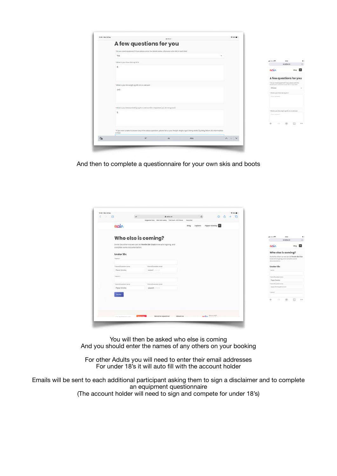| T3 89 Mon 28 Sec | $#$ min.co.                                                                                                                                                     | <b>W 55% III</b>       |                                                                                                              |                  |
|------------------|-----------------------------------------------------------------------------------------------------------------------------------------------------------------|------------------------|--------------------------------------------------------------------------------------------------------------|------------------|
|                  | A few questions for you                                                                                                                                         |                        |                                                                                                              |                  |
|                  | *Do you need equipment? If yos, ploase enter the dotails below, otherwise enter N/A in coch field                                                               |                        |                                                                                                              |                  |
|                  | Yes<br>$\omega$                                                                                                                                                 |                        |                                                                                                              |                  |
|                  | * What is your Shoe San eg UK B                                                                                                                                 |                        | $-400-100$<br>14.02.7<br>$*$ ecla $\infty$                                                                   | a.               |
|                  | 8                                                                                                                                                               |                        | <b>BOLA</b>                                                                                                  | o<br><b>Blog</b> |
|                  |                                                                                                                                                                 |                        | A few questions for you                                                                                      |                  |
|                  | * What is your Ski Longth og 165 cm or unknown                                                                                                                  |                        | * Do you need oquipment? If you global arter the<br>plotoche dettine) otherwise entrol fully in aspot Sista. |                  |
|                  | 146                                                                                                                                                             |                        | Choose                                                                                                       |                  |
|                  |                                                                                                                                                                 |                        | * What is your Shee Ster eg UE 3.<br>Your province                                                           |                  |
|                  | * What is your Release Setting eg 5 or unknown (it is important you do not guess!)                                                                              |                        |                                                                                                              |                  |
|                  | n                                                                                                                                                               |                        | * What is your bid Length sig lift circle unknown<br>TOUR ALLENATOR                                          |                  |
|                  |                                                                                                                                                                 |                        |                                                                                                              | 2.2.5            |
|                  | * If you were undblo to answer any of the above questions, please tell us your Weight, Height, Age & Sking Ability (Eg 60Kg, 160cm, 35, intermediate<br>or NEA) |                        |                                                                                                              |                  |
| $\odot$          | $\mathcal{A}^*$<br>As<br>Also                                                                                                                                   | $\wedge$ $\vee$ $\vee$ |                                                                                                              |                  |

And then to complete a questionnaire for your own skis and boots

| m<br>c |                              | AA               | Suggested Sites Web Site Gallery The Couch, HS Choices                | a eola.co | Fernathen | $\mathfrak{C}$ | $\odot$                     | $\sqrt{1}$ | C |                                                        |                                                                        |                  |
|--------|------------------------------|------------------|-----------------------------------------------------------------------|-----------|-----------|----------------|-----------------------------|------------|---|--------------------------------------------------------|------------------------------------------------------------------------|------------------|
|        | eah                          |                  |                                                                       |           | Blog      | Explore        | <b>Pippa Feneley</b>        |            |   |                                                        |                                                                        |                  |
|        | Who else is coming?          |                  |                                                                       |           |           |                |                             |            |   | $-400-100$                                             | war<br>$*$ eola.co                                                     |                  |
|        | complete some documentation. |                  | Invite the others so we can let Pendle Ski Club know who's going, and |           |           |                |                             |            |   | <b>Boly</b>                                            |                                                                        | ω<br><b>Blog</b> |
|        | Under 18s                    |                  |                                                                       |           |           |                |                             |            |   |                                                        | Who else is coming?<br>Joyita the others so we can let Pendle Bki Club |                  |
|        | * Normal 1                   |                  |                                                                       |           |           |                |                             |            |   | documentation.                                         | know who's going, and complete some                                    |                  |
|        | 7 Parent/Question norms      |                  | <sup>4</sup> Parent/Duestice) arreal                                  |           |           |                |                             |            |   | Under 18s                                              |                                                                        |                  |
|        | Pippa Feneley                |                  |                                                                       |           |           |                |                             |            |   | * learned                                              |                                                                        |                  |
|        | 7 Norma 3                    |                  |                                                                       |           |           |                |                             |            |   |                                                        |                                                                        |                  |
|        |                              |                  |                                                                       |           |           |                |                             |            |   | <sup>1</sup> Perental Supreme degree<br>Pippa Farveley |                                                                        |                  |
|        | * Pursmy business on morne   |                  | · Harwick Division errori                                             |           |           |                |                             |            |   | * Farent/Dutarakan armak                               |                                                                        |                  |
|        | Pippa Feneley                |                  | pippa.fe minute                                                       |           |           |                |                             |            |   | pippa.ferialey@mic.com                                 |                                                                        |                  |
|        |                              |                  |                                                                       |           |           |                |                             |            |   | · Jepres 2                                             |                                                                        |                  |
|        | <b>Invite</b>                |                  |                                                                       |           |           |                |                             |            |   |                                                        |                                                                        |                  |
|        |                              |                  |                                                                       |           |           |                |                             |            |   |                                                        | $\Box$                                                                 |                  |
|        |                              |                  |                                                                       |           |           |                |                             |            |   |                                                        |                                                                        |                  |
|        |                              |                  |                                                                       |           |           |                |                             |            |   |                                                        |                                                                        |                  |
|        |                              |                  |                                                                       |           |           |                |                             |            |   |                                                        |                                                                        |                  |
|        | E.g. mailinness costs        | <b>Subscribe</b> | Become a partner                                                      | About us  |           |                | Warris (alk?)<br><b>ROL</b> |            |   |                                                        |                                                                        |                  |

You will then be asked who else is coming And you should enter the names of any others on your booking

For other Adults you will need to enter their email addresses For under 18's it will auto fill with the account holder

Emails will be sent to each additional participant asking them to sign a disclaimer and to complete an equipment questionnaire (The account holder will need to sign and compete for under 18's)